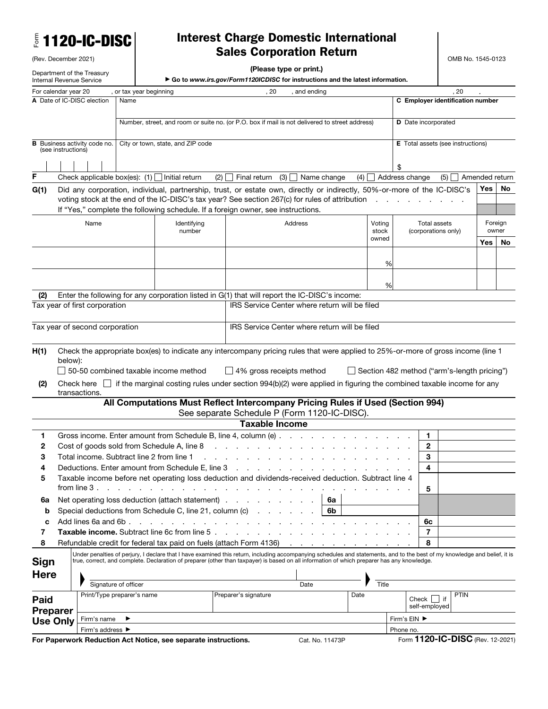| <b>E 1120-IC-DISC</b> |  |  |
|-----------------------|--|--|
|-----------------------|--|--|

## Interest Charge Domestic International Sales Corporation Return

OMB No. 1545-0123

| (Please type or print.) |  |
|-------------------------|--|
|-------------------------|--|

Department of the Treasury

(Rev. December 2021)

| Internal Revenue Service                      |                                           |  |                                                                    | Go to www.irs.gov/Form1120ICDISC for instructions and the latest information.                                                                                              |                 |                |                                                    |             |                |     |
|-----------------------------------------------|-------------------------------------------|--|--------------------------------------------------------------------|----------------------------------------------------------------------------------------------------------------------------------------------------------------------------|-----------------|----------------|----------------------------------------------------|-------------|----------------|-----|
| For calendar year 20<br>or tax year beginning |                                           |  |                                                                    | 20                                                                                                                                                                         | and ending      |                | .20                                                |             |                |     |
|                                               | A Date of IC-DISC election<br>Name        |  |                                                                    |                                                                                                                                                                            |                 |                | C Employer identification number                   |             |                |     |
|                                               |                                           |  |                                                                    |                                                                                                                                                                            |                 |                |                                                    |             |                |     |
|                                               |                                           |  |                                                                    | Number, street, and room or suite no. (or P.O. box if mail is not delivered to street address)                                                                             |                 |                | D Date incorporated                                |             |                |     |
|                                               | Business activity code no.                |  | City or town, state, and ZIP code                                  |                                                                                                                                                                            |                 |                | <b>E</b> Total assets (see instructions)           |             |                |     |
| (see instructions)                            |                                           |  |                                                                    |                                                                                                                                                                            |                 |                |                                                    |             |                |     |
|                                               |                                           |  |                                                                    |                                                                                                                                                                            |                 |                | \$                                                 |             |                |     |
| $\mathsf F$                                   |                                           |  | Check applicable box(es): $(1)$ Initial return<br>(2)              | (3)<br>Final return                                                                                                                                                        | Name change     | (4)            | Address change                                     | (5)         | Amended return |     |
| G(1)                                          |                                           |  |                                                                    | Did any corporation, individual, partnership, trust, or estate own, directly or indirectly, 50%-or-more of the IC-DISC's                                                   |                 |                |                                                    |             | Yes            | No. |
|                                               |                                           |  |                                                                    | voting stock at the end of the IC-DISC's tax year? See section 267(c) for rules of attribution                                                                             |                 |                |                                                    |             |                |     |
|                                               |                                           |  |                                                                    | If "Yes," complete the following schedule. If a foreign owner, see instructions.                                                                                           |                 |                |                                                    |             |                |     |
|                                               | Name                                      |  | Identifying                                                        |                                                                                                                                                                            | Address         | Voting         | Total assets                                       |             | Foreign        |     |
|                                               |                                           |  | number                                                             |                                                                                                                                                                            |                 | stock<br>owned | (corporations only)                                |             | owner          |     |
|                                               |                                           |  |                                                                    |                                                                                                                                                                            |                 |                |                                                    |             | Yes            | No  |
|                                               |                                           |  |                                                                    |                                                                                                                                                                            |                 |                |                                                    |             |                |     |
|                                               |                                           |  |                                                                    |                                                                                                                                                                            |                 | %              |                                                    |             |                |     |
|                                               |                                           |  |                                                                    |                                                                                                                                                                            |                 | %              |                                                    |             |                |     |
| (2)                                           |                                           |  |                                                                    | Enter the following for any corporation listed in G(1) that will report the IC-DISC's income:                                                                              |                 |                |                                                    |             |                |     |
|                                               | Tax year of first corporation             |  |                                                                    | IRS Service Center where return will be filed                                                                                                                              |                 |                |                                                    |             |                |     |
|                                               |                                           |  |                                                                    |                                                                                                                                                                            |                 |                |                                                    |             |                |     |
|                                               | Tax year of second corporation            |  |                                                                    | IRS Service Center where return will be filed                                                                                                                              |                 |                |                                                    |             |                |     |
|                                               |                                           |  |                                                                    |                                                                                                                                                                            |                 |                |                                                    |             |                |     |
| H(1)                                          |                                           |  |                                                                    | Check the appropriate box(es) to indicate any intercompany pricing rules that were applied to 25%-or-more of gross income (line 1                                          |                 |                |                                                    |             |                |     |
| below):                                       |                                           |  |                                                                    |                                                                                                                                                                            |                 |                |                                                    |             |                |     |
|                                               |                                           |  | $\Box$ 50-50 combined taxable income method                        | $\Box$ 4% gross receipts method                                                                                                                                            |                 |                | $\Box$ Section 482 method ("arm's-length pricing") |             |                |     |
| (2)                                           | transactions.                             |  |                                                                    | Check here $\Box$ if the marginal costing rules under section 994(b)(2) were applied in figuring the combined taxable income for any                                       |                 |                |                                                    |             |                |     |
|                                               |                                           |  |                                                                    | All Computations Must Reflect Intercompany Pricing Rules if Used (Section 994)                                                                                             |                 |                |                                                    |             |                |     |
|                                               |                                           |  |                                                                    | See separate Schedule P (Form 1120-IC-DISC).                                                                                                                               |                 |                |                                                    |             |                |     |
|                                               |                                           |  |                                                                    | <b>Taxable Income</b>                                                                                                                                                      |                 |                |                                                    |             |                |     |
| 1.                                            |                                           |  |                                                                    | Gross income. Enter amount from Schedule B, line 4, column (e)                                                                                                             |                 |                | 1                                                  |             |                |     |
| 2                                             |                                           |  | Cost of goods sold from Schedule A, line 8                         | and a strain and a strain and                                                                                                                                              |                 |                | $\mathbf{2}$                                       |             |                |     |
| з                                             | Total income. Subtract line 2 from line 1 |  |                                                                    | the contract of the contract of the contract of the contract of the contract of the contract of the contract of                                                            |                 |                | 3                                                  |             |                |     |
| 4                                             |                                           |  |                                                                    | Deductions. Enter amount from Schedule E, line 3                                                                                                                           |                 |                | 4                                                  |             |                |     |
|                                               | from line 3.                              |  |                                                                    | Taxable income before net operating loss deduction and dividends-received deduction. Subtract line 4                                                                       |                 |                |                                                    |             |                |     |
|                                               |                                           |  | Net operating loss deduction (attach statement)                    |                                                                                                                                                                            |                 |                | 5                                                  |             |                |     |
| 6а<br>b                                       |                                           |  | Special deductions from Schedule C, line 21, column (c)            |                                                                                                                                                                            | 6a<br>6b        |                |                                                    |             |                |     |
| c                                             | Add lines 6a and 6b.                      |  |                                                                    |                                                                                                                                                                            |                 |                | 6с                                                 |             |                |     |
| 7                                             |                                           |  | <b>Taxable income.</b> Subtract line 6c from line 5.               |                                                                                                                                                                            |                 |                | 7                                                  |             |                |     |
| 8                                             |                                           |  | Refundable credit for federal tax paid on fuels (attach Form 4136) |                                                                                                                                                                            |                 |                | 8                                                  |             |                |     |
|                                               |                                           |  |                                                                    | Under penalties of perjury, I declare that I have examined this return, including accompanying schedules and statements, and to the best of my knowledge and belief, it is |                 |                |                                                    |             |                |     |
| <b>Sign</b>                                   |                                           |  |                                                                    | true, correct, and complete. Declaration of preparer (other than taxpayer) is based on all information of which preparer has any knowledge.                                |                 |                |                                                    |             |                |     |
| <b>Here</b>                                   |                                           |  |                                                                    |                                                                                                                                                                            |                 |                |                                                    |             |                |     |
|                                               | Signature of officer                      |  |                                                                    |                                                                                                                                                                            | Date            | Title          |                                                    | <b>PTIN</b> |                |     |
| <b>Paid</b>                                   | Print/Type preparer's name                |  |                                                                    | Preparer's signature                                                                                                                                                       |                 | Date           | Check                                              | lif         |                |     |
| <b>Preparer</b>                               |                                           |  |                                                                    |                                                                                                                                                                            |                 |                | self-employed                                      |             |                |     |
| <b>Use Only</b>                               | Firm's name                               |  |                                                                    |                                                                                                                                                                            |                 |                | Firm's EIN ▶                                       |             |                |     |
|                                               | Firm's address ▶                          |  | For Paperwork Reduction Act Notice, see separate instructions.     |                                                                                                                                                                            | Cat. No. 11473P |                | Phone no.<br>Form 1120-IC-DISC (Rev. 12-2021)      |             |                |     |
|                                               |                                           |  |                                                                    |                                                                                                                                                                            |                 |                |                                                    |             |                |     |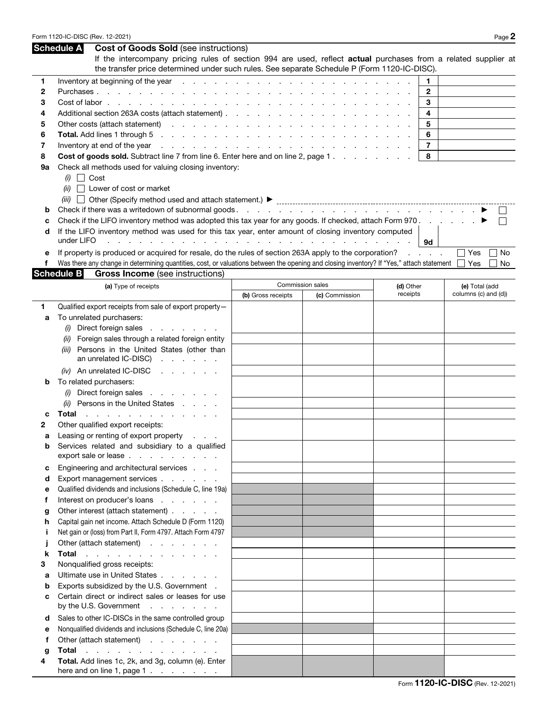| Form 1120-IC-DISC (Rev. 12-2021) | $P$ age $\geq$ |
|----------------------------------|----------------|
|----------------------------------|----------------|

|    | <b>Schedule A</b><br><b>Cost of Goods Sold (see instructions)</b>                                                                                                                                                                                              |                             |                  |                 |                      |
|----|----------------------------------------------------------------------------------------------------------------------------------------------------------------------------------------------------------------------------------------------------------------|-----------------------------|------------------|-----------------|----------------------|
|    | If the intercompany pricing rules of section 994 are used, reflect actual purchases from a related supplier at<br>the transfer price determined under such rules. See separate Schedule P (Form 1120-IC-DISC).                                                 |                             |                  |                 |                      |
| 1  | Inventory at beginning of the year                                                                                                                                                                                                                             |                             |                  | 1               |                      |
| 2  | Purchases                                                                                                                                                                                                                                                      |                             |                  | $\mathbf{2}$    |                      |
| 3  | Cost of labor                                                                                                                                                                                                                                                  |                             |                  | 3               |                      |
| 4  | Additional section 263A costs (attach statement)                                                                                                                                                                                                               |                             |                  | 4               |                      |
| 5  | Other costs (attach statement)                                                                                                                                                                                                                                 |                             |                  | 5               |                      |
| 6  | Total. Add lines 1 through 5<br>the contract of the contract of the contract of the contract of the contract of the contract of the contract of                                                                                                                |                             |                  | 6               |                      |
| 7  | Inventory at end of the year<br>and the company of the company of the company of the company of the company of the company of the company of the company of the company of the company of the company of the company of the company of the company of the comp |                             |                  | $\overline{7}$  |                      |
| 8  | Cost of goods sold. Subtract line 7 from line 6. Enter here and on line 2, page 1.                                                                                                                                                                             |                             |                  | 8               |                      |
| 9а | Check all methods used for valuing closing inventory:<br>$(i)$ Cost<br>Lower of cost or market<br>(ii)                                                                                                                                                         |                             |                  |                 |                      |
|    |                                                                                                                                                                                                                                                                |                             |                  |                 |                      |
| b  |                                                                                                                                                                                                                                                                |                             |                  |                 |                      |
| c  | Check if the LIFO inventory method was adopted this tax year for any goods. If checked, attach Form 970.                                                                                                                                                       |                             |                  |                 | $\mathbf{I}$         |
| d  | If the LIFO inventory method was used for this tax year, enter amount of closing inventory computed                                                                                                                                                            |                             |                  |                 |                      |
|    | under LIFO                                                                                                                                                                                                                                                     | and the company of the com- |                  | 9d              |                      |
| е  | If property is produced or acquired for resale, do the rules of section 263A apply to the corporation?                                                                                                                                                         |                             |                  | $1 - 1 - 1 = 1$ | Yes<br>No            |
| f  | Was there any change in determining quantities, cost, or valuations between the opening and closing inventory? If "Yes," attach statement                                                                                                                      |                             |                  |                 | Yes<br>No            |
|    | <b>Schedule B</b><br><b>Gross Income</b> (see instructions)                                                                                                                                                                                                    |                             |                  |                 |                      |
|    | (a) Type of receipts                                                                                                                                                                                                                                           |                             | Commission sales | (d) Other       | (e) Total (add       |
|    |                                                                                                                                                                                                                                                                | (b) Gross receipts          | (c) Commission   | receipts        | columns (c) and (d)) |
| 1  | Qualified export receipts from sale of export property-                                                                                                                                                                                                        |                             |                  |                 |                      |
| а  | To unrelated purchasers:                                                                                                                                                                                                                                       |                             |                  |                 |                      |
|    | Direct foreign sales<br>(i)<br>the company of the company of                                                                                                                                                                                                   |                             |                  |                 |                      |
|    | Foreign sales through a related foreign entity<br>(ii)                                                                                                                                                                                                         |                             |                  |                 |                      |
|    | Persons in the United States (other than<br>(iii)                                                                                                                                                                                                              |                             |                  |                 |                      |
|    | an unrelated IC-DISC)<br>and the company of the company                                                                                                                                                                                                        |                             |                  |                 |                      |
|    |                                                                                                                                                                                                                                                                |                             |                  |                 |                      |
|    | (iv) An unrelated IC-DISC<br>and a state of the state of the                                                                                                                                                                                                   |                             |                  |                 |                      |
| b  | To related purchasers:                                                                                                                                                                                                                                         |                             |                  |                 |                      |
|    | Direct foreign sales<br>(i)<br>the contract of the contract of                                                                                                                                                                                                 |                             |                  |                 |                      |
|    | (ii) Persons in the United States                                                                                                                                                                                                                              |                             |                  |                 |                      |
| с  | Total<br>$\frac{1}{2}$ , $\frac{1}{2}$ , $\frac{1}{2}$ , $\frac{1}{2}$ , $\frac{1}{2}$ , $\frac{1}{2}$ , $\frac{1}{2}$ , $\frac{1}{2}$ , $\frac{1}{2}$ , $\frac{1}{2}$                                                                                         |                             |                  |                 |                      |
| 2  | Other qualified export receipts:                                                                                                                                                                                                                               |                             |                  |                 |                      |
| a  | Leasing or renting of export property                                                                                                                                                                                                                          |                             |                  |                 |                      |
| b  | Services related and subsidiary to a qualified<br>export sale or lease                                                                                                                                                                                         |                             |                  |                 |                      |
| c  | Engineering and architectural services                                                                                                                                                                                                                         |                             |                  |                 |                      |
| d  | Export management services                                                                                                                                                                                                                                     |                             |                  |                 |                      |
| е  | Qualified dividends and inclusions (Schedule C, line 19a)                                                                                                                                                                                                      |                             |                  |                 |                      |
| f  | Interest on producer's loans                                                                                                                                                                                                                                   |                             |                  |                 |                      |
| g  | Other interest (attach statement)                                                                                                                                                                                                                              |                             |                  |                 |                      |
| h  | Capital gain net income. Attach Schedule D (Form 1120)                                                                                                                                                                                                         |                             |                  |                 |                      |
| Ī  | Net gain or (loss) from Part II, Form 4797. Attach Form 4797                                                                                                                                                                                                   |                             |                  |                 |                      |
|    | Other (attach statement)                                                                                                                                                                                                                                       |                             |                  |                 |                      |
| k  | Total and a subset of the set of the set of the set of the set of the set of the set of the set of the set of the set of the set of the set of the set of the set of the set of the set of the set of the set of the set of th                                 |                             |                  |                 |                      |
| з  | Nonqualified gross receipts:                                                                                                                                                                                                                                   |                             |                  |                 |                      |
| a  | Ultimate use in United States                                                                                                                                                                                                                                  |                             |                  |                 |                      |
| b  | Exports subsidized by the U.S. Government .                                                                                                                                                                                                                    |                             |                  |                 |                      |
| c  | Certain direct or indirect sales or leases for use<br>by the U.S. Government                                                                                                                                                                                   |                             |                  |                 |                      |
| d  | Sales to other IC-DISCs in the same controlled group                                                                                                                                                                                                           |                             |                  |                 |                      |
| е  | Nonqualified dividends and inclusions (Schedule C, line 20a)                                                                                                                                                                                                   |                             |                  |                 |                      |
| f  | Other (attach statement)                                                                                                                                                                                                                                       |                             |                  |                 |                      |
| g  | Total and a series and a series are a series of                                                                                                                                                                                                                |                             |                  |                 |                      |
| 4  | Total. Add lines 1c, 2k, and 3g, column (e). Enter                                                                                                                                                                                                             |                             |                  |                 |                      |
|    | here and on line 1, page $1 \cdot \cdot \cdot \cdot \cdot$                                                                                                                                                                                                     |                             |                  |                 |                      |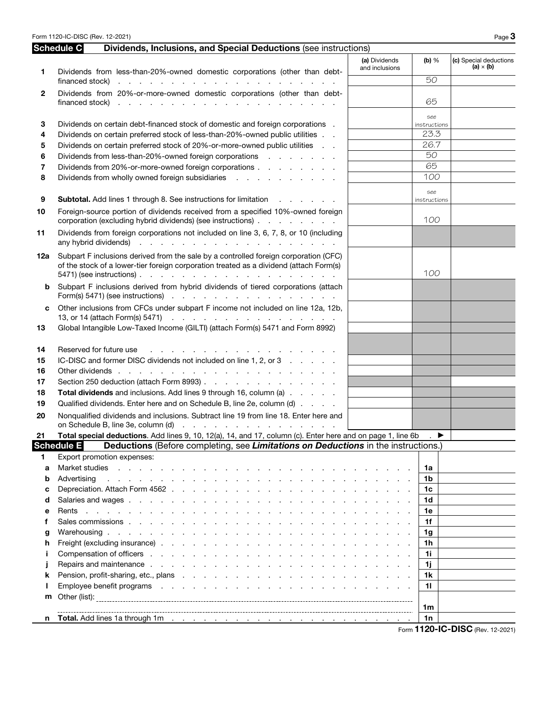Form 1120-IC-DISC (Rev. 12-2021) Page 3

|        | Schedule C<br>Dividends, Inclusions, and Special Deductions (see instructions)                                                                                                                                                                                                     |                                 |                      |                                            |
|--------|------------------------------------------------------------------------------------------------------------------------------------------------------------------------------------------------------------------------------------------------------------------------------------|---------------------------------|----------------------|--------------------------------------------|
| 1      | Dividends from less-than-20%-owned domestic corporations (other than debt-                                                                                                                                                                                                         | (a) Dividends<br>and inclusions | $(b)$ %              | (c) Special deductions<br>(a) $\times$ (b) |
|        | financed stock) $\cdots$ $\cdots$ $\cdots$ $\cdots$ $\cdots$ $\cdots$ $\cdots$ $\cdots$ $\cdots$ $\cdots$                                                                                                                                                                          |                                 | 50                   |                                            |
| 2      | Dividends from 20%-or-more-owned domestic corporations (other than debt-                                                                                                                                                                                                           |                                 | 65                   |                                            |
|        |                                                                                                                                                                                                                                                                                    |                                 | see                  |                                            |
| 3      | Dividends on certain debt-financed stock of domestic and foreign corporations.                                                                                                                                                                                                     |                                 | instructions<br>23.3 |                                            |
| 4      | Dividends on certain preferred stock of less-than-20%-owned public utilities<br>Dividends on certain preferred stock of 20%-or-more-owned public utilities                                                                                                                         |                                 | 26.7                 |                                            |
| 5      | Dividends from less-than-20%-owned foreign corporations                                                                                                                                                                                                                            |                                 | 50                   |                                            |
| 6<br>7 | Dividends from 20%-or-more-owned foreign corporations                                                                                                                                                                                                                              |                                 | 65                   |                                            |
| 8      | Dividends from wholly owned foreign subsidiaries                                                                                                                                                                                                                                   |                                 | 100                  |                                            |
| 9      | <b>Subtotal.</b> Add lines 1 through 8. See instructions for limitation                                                                                                                                                                                                            |                                 | see<br>instructions  |                                            |
| 10     | Foreign-source portion of dividends received from a specified 10%-owned foreign<br>corporation (excluding hybrid dividends) (see instructions)                                                                                                                                     |                                 | 100                  |                                            |
| 11     | Dividends from foreign corporations not included on line 3, 6, 7, 8, or 10 (including                                                                                                                                                                                              |                                 |                      |                                            |
| 12a    | Subpart F inclusions derived from the sale by a controlled foreign corporation (CFC)<br>of the stock of a lower-tier foreign corporation treated as a dividend (attach Form(s)<br>5471) (see instructions) $\ldots$ $\ldots$ $\ldots$ $\ldots$ $\ldots$ $\ldots$ $\ldots$ $\ldots$ |                                 | 100                  |                                            |
| b      | Subpart F inclusions derived from hybrid dividends of tiered corporations (attach<br>Form(s) 5471) (see instructions) $\therefore$ $\therefore$ $\therefore$ $\therefore$ $\therefore$ $\therefore$ $\therefore$ $\therefore$ $\therefore$ $\therefore$                            |                                 |                      |                                            |
|        | Other inclusions from CFCs under subpart F income not included on line 12a, 12b,<br>13, or 14 (attach Form(s) 5471)                                                                                                                                                                |                                 |                      |                                            |
| 13     | Global Intangible Low-Taxed Income (GILTI) (attach Form(s) 5471 and Form 8992)                                                                                                                                                                                                     |                                 |                      |                                            |
| 14     | Reserved for future use                                                                                                                                                                                                                                                            |                                 |                      |                                            |
| 15     | IC-DISC and former DISC dividends not included on line 1, 2, or 3                                                                                                                                                                                                                  |                                 |                      |                                            |
| 16     |                                                                                                                                                                                                                                                                                    |                                 |                      |                                            |
| 17     | Section 250 deduction (attach Form 8993)                                                                                                                                                                                                                                           |                                 |                      |                                            |
| 18     | Total dividends and inclusions. Add lines 9 through 16, column (a)                                                                                                                                                                                                                 |                                 |                      |                                            |
| 19     | Qualified dividends. Enter here and on Schedule B, line 2e, column (d)                                                                                                                                                                                                             |                                 |                      |                                            |
| 20     | Nonqualified dividends and inclusions. Subtract line 19 from line 18. Enter here and                                                                                                                                                                                               |                                 |                      |                                            |
| 21     | Total special deductions. Add lines 9, 10, 12(a), 14, and 17, column (c). Enter here and on page 1, line 6b                                                                                                                                                                        |                                 | ▶                    |                                            |
|        | <b>Schedule E</b><br>Deductions (Before completing, see Limitations on Deductions in the instructions.)                                                                                                                                                                            |                                 |                      |                                            |
| 1.     | Export promotion expenses:                                                                                                                                                                                                                                                         |                                 |                      |                                            |
| a      |                                                                                                                                                                                                                                                                                    |                                 | 1a                   |                                            |
| b      | Advertising                                                                                                                                                                                                                                                                        |                                 | 1b                   |                                            |
| c      |                                                                                                                                                                                                                                                                                    |                                 | 1c                   |                                            |
| d      |                                                                                                                                                                                                                                                                                    |                                 | 1 <sub>d</sub>       |                                            |
| е      |                                                                                                                                                                                                                                                                                    |                                 | 1e                   |                                            |
| f      |                                                                                                                                                                                                                                                                                    |                                 | 1f                   |                                            |
| g      |                                                                                                                                                                                                                                                                                    |                                 | 1g                   |                                            |
| h      |                                                                                                                                                                                                                                                                                    |                                 | 1 <sub>h</sub>       |                                            |
| j.     |                                                                                                                                                                                                                                                                                    |                                 | 1i                   |                                            |
| j      |                                                                                                                                                                                                                                                                                    |                                 | 1j                   |                                            |
| k      |                                                                                                                                                                                                                                                                                    |                                 | 1 <sub>k</sub>       |                                            |
| ı      | Employee benefit programs resources and resources and resources and resources and resources are the set of the                                                                                                                                                                     |                                 | 11                   |                                            |
| m      |                                                                                                                                                                                                                                                                                    |                                 | 1m                   |                                            |
| n      | Total. Add lines 1a through 1m (a) and (b) and (b) and (b) and (b) and (b) and (b) and (b) and (b) and (b) and (b) and (b) and (b) and (b) and (b) and (b) and (b) and (b) and (b) and (b) and (b) and (b) and (b) and (b) and                                                     |                                 | 1n                   |                                            |
|        |                                                                                                                                                                                                                                                                                    |                                 |                      | Form 1120-IC-DISC (Rev. 12-2021)           |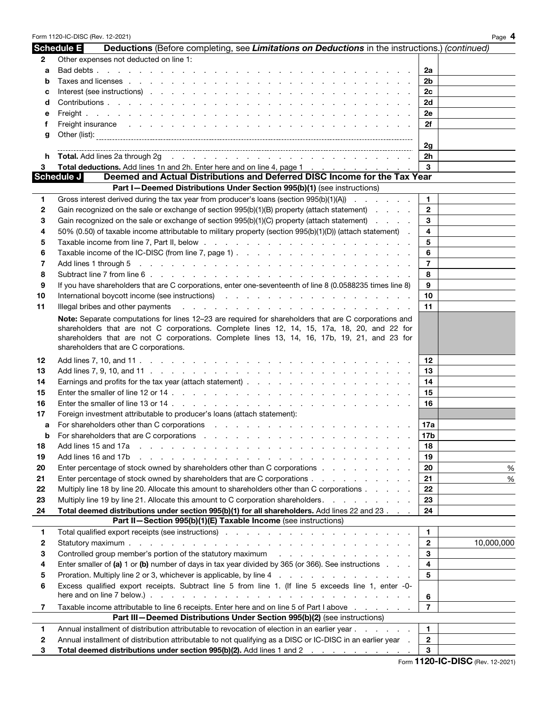|              | Form 1120-IC-DISC (Rev. 12-2021)                                                                                                                                                                                                                                    |                | Page 4     |
|--------------|---------------------------------------------------------------------------------------------------------------------------------------------------------------------------------------------------------------------------------------------------------------------|----------------|------------|
|              | <b>Schedule E</b><br>Deductions (Before completing, see Limitations on Deductions in the instructions.) (continued)                                                                                                                                                 |                |            |
| $\mathbf{2}$ | Other expenses not deducted on line 1:                                                                                                                                                                                                                              |                |            |
| а            |                                                                                                                                                                                                                                                                     | 2a             |            |
| b            |                                                                                                                                                                                                                                                                     | 2b             |            |
| с            |                                                                                                                                                                                                                                                                     | 2c             |            |
| d            |                                                                                                                                                                                                                                                                     | 2d             |            |
| е            |                                                                                                                                                                                                                                                                     | 2e             |            |
| t            | Freight insurance the contract of the contract of the contract of the contract of the contract of the contract of the contract of the contract of the contract of the contract of the contract of the contract of the contract                                      | 2f             |            |
| g            |                                                                                                                                                                                                                                                                     |                |            |
|              |                                                                                                                                                                                                                                                                     | 2g             |            |
|              |                                                                                                                                                                                                                                                                     | 2h             |            |
| 3            | <b>Total deductions.</b> Add lines 1n and 2h. Enter here and on line 4, page 1                                                                                                                                                                                      | 3              |            |
|              | Deemed and Actual Distributions and Deferred DISC Income for the Tax Year<br>Schedule J                                                                                                                                                                             |                |            |
|              | Part I-Deemed Distributions Under Section 995(b)(1) (see instructions)                                                                                                                                                                                              |                |            |
| 1            | Gross interest derived during the tax year from producer's loans (section $995(b)(1)(A)$ )                                                                                                                                                                          | 1.             |            |
| $\mathbf{2}$ | Gain recognized on the sale or exchange of section 995(b)(1)(B) property (attach statement)                                                                                                                                                                         | $\overline{2}$ |            |
| З            | Gain recognized on the sale or exchange of section 995(b)(1)(C) property (attach statement)                                                                                                                                                                         | 3              |            |
| 4            | 50% (0.50) of taxable income attributable to military property (section 995(b)(1)(D)) (attach statement).                                                                                                                                                           | 4              |            |
| 5            |                                                                                                                                                                                                                                                                     | 5              |            |
| 6            |                                                                                                                                                                                                                                                                     | 6              |            |
| 7            |                                                                                                                                                                                                                                                                     | $\overline{7}$ |            |
| 8            |                                                                                                                                                                                                                                                                     | 8              |            |
| 9            | If you have shareholders that are C corporations, enter one-seventeenth of line 8 (0.0588235 times line 8)                                                                                                                                                          | 9              |            |
| 10           | International boycott income (see instructions) and a series of the contract of the contract of the contract of the contract of the contract of the contract of the contract of the contract of the contract of the contract o                                      | 10             |            |
| 11           | Illegal bribes and other payments<br>and the company of the company of the company of the company of the company of the company of the company of the company of the company of the company of the company of the company of the company of the company of the comp | 11             |            |
|              | Note: Separate computations for lines 12-23 are required for shareholders that are C corporations and                                                                                                                                                               |                |            |
|              | shareholders that are not C corporations. Complete lines 12, 14, 15, 17a, 18, 20, and 22 for                                                                                                                                                                        |                |            |
|              | shareholders that are not C corporations. Complete lines 13, 14, 16, 17b, 19, 21, and 23 for                                                                                                                                                                        |                |            |
|              | shareholders that are C corporations.                                                                                                                                                                                                                               |                |            |
| 12           |                                                                                                                                                                                                                                                                     | 12             |            |
| 13           |                                                                                                                                                                                                                                                                     | 13             |            |
| 14           |                                                                                                                                                                                                                                                                     | 14             |            |
| 15           |                                                                                                                                                                                                                                                                     | 15             |            |
| 16           |                                                                                                                                                                                                                                                                     | 16             |            |
| 17           | Foreign investment attributable to producer's loans (attach statement):                                                                                                                                                                                             |                |            |
| a            |                                                                                                                                                                                                                                                                     | 17a            |            |
| b            |                                                                                                                                                                                                                                                                     | 17b            |            |
| 18           | Add lines 15 and 17a<br>and the contract of the contract of the contract of the contract of the contract of                                                                                                                                                         | 18             |            |
| 19           | Add lines 16 and 17b<br><u>. In the second contract of the second contract of the second contract of the second contract of the second contract of the second contract of the second contract of the second contract of the second contract of the secon</u>        | 19             |            |
| 20           | Enter percentage of stock owned by shareholders other than C corporations                                                                                                                                                                                           | 20             | %          |
| 21           | Enter percentage of stock owned by shareholders that are C corporations                                                                                                                                                                                             | 21             | $\%$       |
| 22           | Multiply line 18 by line 20. Allocate this amount to shareholders other than C corporations                                                                                                                                                                         | 22             |            |
| 23           | Multiply line 19 by line 21. Allocate this amount to C corporation shareholders.                                                                                                                                                                                    | 23             |            |
| 24           | Total deemed distributions under section 995(b)(1) for all shareholders. Add lines 22 and 23                                                                                                                                                                        | 24             |            |
|              | Part II-Section 995(b)(1)(E) Taxable Income (see instructions)                                                                                                                                                                                                      |                |            |
| 1            |                                                                                                                                                                                                                                                                     | 1.             |            |
| $\mathbf{2}$ |                                                                                                                                                                                                                                                                     | $\mathbf{2}$   | 10,000,000 |
| З            | Controlled group member's portion of the statutory maximum enters in the status of the status of the statutory maximum enters in the status of the status of the status of the status of the status of the status of the statu                                      | 3              |            |
| 4            | Enter smaller of (a) 1 or (b) number of days in tax year divided by 365 (or 366). See instructions $\ldots$                                                                                                                                                         | 4              |            |
| 5            |                                                                                                                                                                                                                                                                     | 5              |            |
| 6            | Excess qualified export receipts. Subtract line 5 from line 1. (If line 5 exceeds line 1, enter -0-                                                                                                                                                                 |                |            |
|              | here and on line 7 below.) $\ldots$ $\ldots$ $\ldots$ $\ldots$ $\ldots$ $\ldots$ $\ldots$ $\ldots$ $\ldots$ $\ldots$ $\ldots$ $\ldots$                                                                                                                              | 6              |            |
| 7            | Taxable income attributable to line 6 receipts. Enter here and on line 5 of Part I above                                                                                                                                                                            | $\overline{7}$ |            |
|              | Part III-Deemed Distributions Under Section 995(b)(2) (see instructions)                                                                                                                                                                                            |                |            |
| 1            | Annual installment of distribution attributable to revocation of election in an earlier year                                                                                                                                                                        | 1.             |            |
| $\mathbf{2}$ | Annual installment of distribution attributable to not qualifying as a DISC or IC-DISC in an earlier year.                                                                                                                                                          | $\mathbf{2}$   |            |
| 3            | Total deemed distributions under section 995(b)(2). Add lines 1 and 2                                                                                                                                                                                               | 3              |            |
|              |                                                                                                                                                                                                                                                                     |                |            |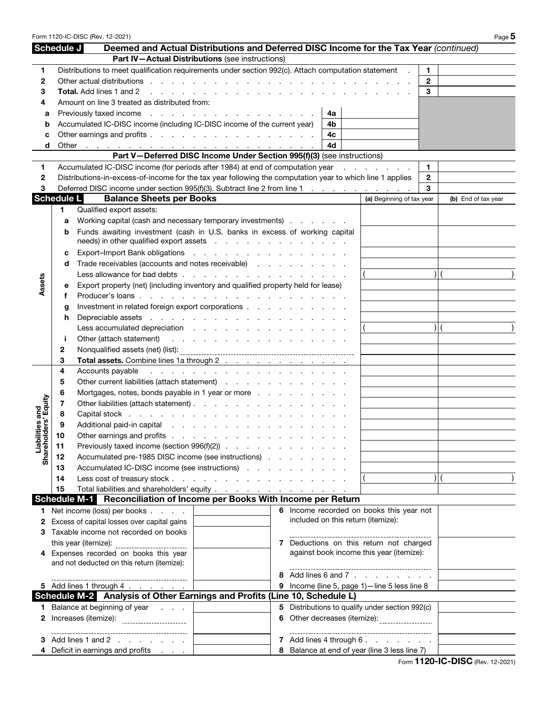|                                         |                   | Form 1120-IC-DISC (Rev. 12-2021)                                                                                                                                                                                               |                                                                                                                                                                                                                                |   |  |    |  |                                                |              |  | Page 5              |
|-----------------------------------------|-------------------|--------------------------------------------------------------------------------------------------------------------------------------------------------------------------------------------------------------------------------|--------------------------------------------------------------------------------------------------------------------------------------------------------------------------------------------------------------------------------|---|--|----|--|------------------------------------------------|--------------|--|---------------------|
|                                         | Schedule J        | Deemed and Actual Distributions and Deferred DISC Income for the Tax Year (continued)                                                                                                                                          |                                                                                                                                                                                                                                |   |  |    |  |                                                |              |  |                     |
|                                         |                   | Part IV-Actual Distributions (see instructions)                                                                                                                                                                                |                                                                                                                                                                                                                                |   |  |    |  |                                                |              |  |                     |
| 1                                       |                   | Distributions to meet qualification requirements under section 992(c). Attach computation statement                                                                                                                            |                                                                                                                                                                                                                                |   |  |    |  |                                                | 1.           |  |                     |
| 2                                       |                   | Other actual distributions entering to the contract of the contract of the contract of the contract of the contract of the contract of the contract of the contract of the contract of the contract of the contract of the con |                                                                                                                                                                                                                                |   |  |    |  |                                                | $\mathbf{2}$ |  |                     |
| 3                                       |                   | <b>Total.</b> Add lines 1 and 2<br>and a state of the state of the state of the                                                                                                                                                |                                                                                                                                                                                                                                |   |  |    |  |                                                | 3            |  |                     |
| 4                                       |                   | Amount on line 3 treated as distributed from:                                                                                                                                                                                  |                                                                                                                                                                                                                                |   |  |    |  |                                                |              |  |                     |
| а                                       |                   | 4a                                                                                                                                                                                                                             |                                                                                                                                                                                                                                |   |  |    |  |                                                |              |  |                     |
| b                                       |                   | Accumulated IC-DISC income (including IC-DISC income of the current year)                                                                                                                                                      |                                                                                                                                                                                                                                |   |  | 4b |  |                                                |              |  |                     |
| c                                       |                   | Other earnings and profits                                                                                                                                                                                                     |                                                                                                                                                                                                                                |   |  | 4с |  |                                                |              |  |                     |
| d                                       |                   |                                                                                                                                                                                                                                |                                                                                                                                                                                                                                |   |  | 4d |  |                                                |              |  |                     |
|                                         |                   | Part V-Deferred DISC Income Under Section 995(f)(3) (see instructions)                                                                                                                                                         |                                                                                                                                                                                                                                |   |  |    |  |                                                |              |  |                     |
| 1.                                      |                   | Accumulated IC-DISC income (for periods after 1984) at end of computation year                                                                                                                                                 |                                                                                                                                                                                                                                |   |  |    |  | .                                              | 1.           |  |                     |
| $\mathbf{2}$                            |                   | Distributions-in-excess-of-income for the tax year following the computation year to which line 1 applies                                                                                                                      |                                                                                                                                                                                                                                |   |  |    |  |                                                | $\mathbf{2}$ |  |                     |
| 3                                       |                   | Deferred DISC income under section 995(f)(3). Subtract line 2 from line 1                                                                                                                                                      |                                                                                                                                                                                                                                |   |  |    |  |                                                | 3            |  |                     |
|                                         | <b>Schedule L</b> | <b>Balance Sheets per Books</b>                                                                                                                                                                                                |                                                                                                                                                                                                                                |   |  |    |  | (a) Beginning of tax year                      |              |  | (b) End of tax year |
|                                         | 1.                | Qualified export assets:                                                                                                                                                                                                       |                                                                                                                                                                                                                                |   |  |    |  |                                                |              |  |                     |
|                                         | a                 | Working capital (cash and necessary temporary investments)                                                                                                                                                                     |                                                                                                                                                                                                                                |   |  |    |  |                                                |              |  |                     |
|                                         | b                 | Funds awaiting investment (cash in U.S. banks in excess of working capital                                                                                                                                                     |                                                                                                                                                                                                                                |   |  |    |  |                                                |              |  |                     |
|                                         |                   | needs) in other qualified export assets                                                                                                                                                                                        |                                                                                                                                                                                                                                |   |  |    |  |                                                |              |  |                     |
|                                         | c                 | Export-Import Bank obligations                                                                                                                                                                                                 |                                                                                                                                                                                                                                |   |  |    |  |                                                |              |  |                     |
|                                         | d                 | Trade receivables (accounts and notes receivable)                                                                                                                                                                              |                                                                                                                                                                                                                                |   |  |    |  |                                                |              |  |                     |
|                                         |                   | Less allowance for bad debts                                                                                                                                                                                                   |                                                                                                                                                                                                                                |   |  |    |  |                                                | $\lambda$    |  |                     |
| Assets                                  | е                 | Export property (net) (including inventory and qualified property held for lease)                                                                                                                                              |                                                                                                                                                                                                                                |   |  |    |  |                                                |              |  |                     |
|                                         | f                 |                                                                                                                                                                                                                                |                                                                                                                                                                                                                                |   |  |    |  |                                                |              |  |                     |
|                                         | g                 | Investment in related foreign export corporations                                                                                                                                                                              |                                                                                                                                                                                                                                |   |  |    |  |                                                |              |  |                     |
|                                         | h                 |                                                                                                                                                                                                                                |                                                                                                                                                                                                                                |   |  |    |  |                                                |              |  |                     |
|                                         |                   | Less accumulated depreciation resolution and resolution of the set of the set of the set of the set of the set of the set of the set of the set of the set of the set of the set of the set of the set of the set of the set o |                                                                                                                                                                                                                                |   |  |    |  |                                                | $\lambda$    |  |                     |
|                                         | j.                |                                                                                                                                                                                                                                |                                                                                                                                                                                                                                |   |  |    |  |                                                |              |  |                     |
|                                         | 2                 |                                                                                                                                                                                                                                |                                                                                                                                                                                                                                |   |  |    |  |                                                |              |  |                     |
|                                         | 3                 | Total assets. Combine lines 1a through 2                                                                                                                                                                                       |                                                                                                                                                                                                                                |   |  |    |  |                                                |              |  |                     |
|                                         | 4                 | Accounts payable                                                                                                                                                                                                               | and the contract of the contract of the contract of the contract of the contract of the contract of the contract of the contract of the contract of the contract of the contract of the contract of the contract of the contra |   |  |    |  |                                                |              |  |                     |
|                                         | 5                 | Other current liabilities (attach statement)                                                                                                                                                                                   |                                                                                                                                                                                                                                |   |  |    |  |                                                |              |  |                     |
|                                         | 6                 | Mortgages, notes, bonds payable in 1 year or more                                                                                                                                                                              |                                                                                                                                                                                                                                |   |  |    |  |                                                |              |  |                     |
| Liabilities and<br>Shareholders' Equity | 7                 | Other liabilities (attach statement)                                                                                                                                                                                           |                                                                                                                                                                                                                                |   |  |    |  |                                                |              |  |                     |
|                                         | 8                 |                                                                                                                                                                                                                                |                                                                                                                                                                                                                                |   |  |    |  |                                                |              |  |                     |
|                                         | 9                 |                                                                                                                                                                                                                                |                                                                                                                                                                                                                                |   |  |    |  |                                                |              |  |                     |
|                                         | 10                | Other earnings and profits                                                                                                                                                                                                     |                                                                                                                                                                                                                                |   |  |    |  |                                                |              |  |                     |
|                                         | 11                | Previously taxed income (section $996(f)(2)$ ) $\ldots$ $\ldots$ $\ldots$                                                                                                                                                      |                                                                                                                                                                                                                                |   |  |    |  |                                                |              |  |                     |
|                                         | 12                | Accumulated pre-1985 DISC income (see instructions)                                                                                                                                                                            |                                                                                                                                                                                                                                |   |  |    |  |                                                |              |  |                     |
|                                         | 13                | Accumulated IC-DISC income (see instructions)                                                                                                                                                                                  |                                                                                                                                                                                                                                |   |  |    |  |                                                |              |  |                     |
|                                         | 14                | Less cost of treasury stock                                                                                                                                                                                                    |                                                                                                                                                                                                                                |   |  |    |  |                                                |              |  |                     |
|                                         | 15                | Total liabilities and shareholders' equity <u>.</u>                                                                                                                                                                            |                                                                                                                                                                                                                                |   |  |    |  |                                                |              |  |                     |
|                                         |                   | Schedule M-1 Reconciliation of Income per Books With Income per Return                                                                                                                                                         |                                                                                                                                                                                                                                |   |  |    |  |                                                |              |  |                     |
| 1.                                      |                   | Net income (loss) per books                                                                                                                                                                                                    |                                                                                                                                                                                                                                |   |  |    |  | 6 Income recorded on books this year not       |              |  |                     |
| 2                                       |                   | Excess of capital losses over capital gains                                                                                                                                                                                    |                                                                                                                                                                                                                                |   |  |    |  | included on this return (itemize):             |              |  |                     |
|                                         |                   | Taxable income not recorded on books                                                                                                                                                                                           |                                                                                                                                                                                                                                |   |  |    |  |                                                |              |  |                     |
|                                         |                   | this year (itemize):                                                                                                                                                                                                           |                                                                                                                                                                                                                                |   |  |    |  | 7 Deductions on this return not charged        |              |  |                     |
|                                         |                   | Expenses recorded on books this year                                                                                                                                                                                           |                                                                                                                                                                                                                                |   |  |    |  | against book income this year (itemize):       |              |  |                     |
|                                         |                   | and not deducted on this return (itemize):                                                                                                                                                                                     |                                                                                                                                                                                                                                |   |  |    |  |                                                |              |  |                     |
|                                         |                   |                                                                                                                                                                                                                                |                                                                                                                                                                                                                                | 8 |  |    |  | Add lines 6 and 7                              |              |  |                     |
|                                         |                   | 5 Add lines 1 through $4 \cdot \cdot \cdot \cdot \cdot$                                                                                                                                                                        |                                                                                                                                                                                                                                | 9 |  |    |  | Income (line 5, page 1)-line 5 less line 8     |              |  |                     |
|                                         |                   | Schedule M-2 Analysis of Other Earnings and Profits (Line 10, Schedule L)                                                                                                                                                      |                                                                                                                                                                                                                                |   |  |    |  |                                                |              |  |                     |
|                                         |                   | <b>1</b> Balance at beginning of year                                                                                                                                                                                          |                                                                                                                                                                                                                                | 5 |  |    |  | Distributions to qualify under section 992(c)  |              |  |                     |
|                                         |                   |                                                                                                                                                                                                                                |                                                                                                                                                                                                                                | 6 |  |    |  | Other decreases (itemize): ___________________ |              |  |                     |
|                                         |                   | --------------------------------                                                                                                                                                                                               |                                                                                                                                                                                                                                |   |  |    |  | -----------------------                        |              |  |                     |
|                                         |                   | Add lines 1 and 2                                                                                                                                                                                                              |                                                                                                                                                                                                                                |   |  |    |  | 7 Add lines 4 through 6.                       |              |  |                     |
|                                         |                   | 4 Deficit in earnings and profits                                                                                                                                                                                              |                                                                                                                                                                                                                                |   |  |    |  | 8 Balance at end of year (line 3 less line 7)  |              |  |                     |

Form **1120-IC-DISC** (Rev. 12-2021)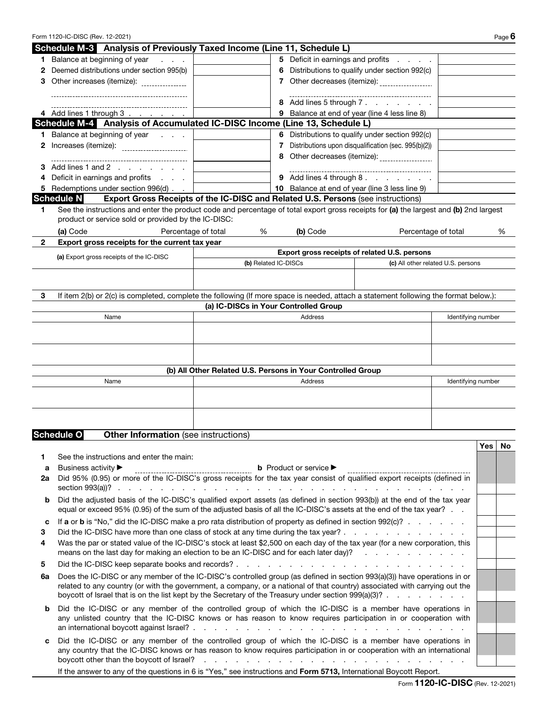| Form 1120-IC-DISC (Rev. 12-2021) | Page $\bm{6}$ |
|----------------------------------|---------------|
|----------------------------------|---------------|

|    | Schedule M-3 Analysis of Previously Taxed Income (Line 11, Schedule L)                                                                                                                                             |                                                             |   |                                                   |                                                      |                    |        |   |
|----|--------------------------------------------------------------------------------------------------------------------------------------------------------------------------------------------------------------------|-------------------------------------------------------------|---|---------------------------------------------------|------------------------------------------------------|--------------------|--------|---|
|    | 1 Balance at beginning of year<br><b>Contractor</b>                                                                                                                                                                |                                                             |   |                                                   | 5 Deficit in earnings and profits                    |                    |        |   |
| 2  | Deemed distributions under section 995(b)                                                                                                                                                                          |                                                             | 6 |                                                   | Distributions to qualify under section 992(c)        |                    |        |   |
|    | Other increases (itemize): ________________                                                                                                                                                                        |                                                             |   |                                                   | 7 Other decreases (itemize): ___________________     |                    |        |   |
|    |                                                                                                                                                                                                                    |                                                             |   |                                                   | ----------------------------                         |                    |        |   |
|    |                                                                                                                                                                                                                    |                                                             |   | 8 Add lines 5 through 7.                          |                                                      |                    |        |   |
|    | 4 Add lines 1 through 3                                                                                                                                                                                            |                                                             |   |                                                   | 9 Balance at end of year (line 4 less line 8)        |                    |        |   |
|    | Schedule M-4 Analysis of Accumulated IC-DISC Income (Line 13, Schedule L)                                                                                                                                          |                                                             |   |                                                   |                                                      |                    |        |   |
|    | 1 Balance at beginning of year                                                                                                                                                                                     |                                                             |   |                                                   | 6 Distributions to qualify under section 992(c)      |                    |        |   |
|    | Increases (itemize): _______________________                                                                                                                                                                       |                                                             | 7 |                                                   | Distributions upon disqualification (sec. 995(b)(2)) |                    |        |   |
|    | _________________________________                                                                                                                                                                                  |                                                             |   |                                                   | 8 Other decreases (itemize): __________________      |                    |        |   |
|    | Add lines 1 and 2                                                                                                                                                                                                  |                                                             |   |                                                   | _____________________________                        |                    |        |   |
| 4  | Deficit in earnings and profits                                                                                                                                                                                    |                                                             |   | 9 Add lines 4 through 8.                          |                                                      |                    |        |   |
| 5  | Redemptions under section 996(d)                                                                                                                                                                                   |                                                             |   |                                                   | 10 Balance at end of year (line 3 less line 9)       |                    |        |   |
|    | <b>Schedule N</b><br>Export Gross Receipts of the IC-DISC and Related U.S. Persons (see instructions)                                                                                                              |                                                             |   |                                                   |                                                      |                    |        |   |
| 1  | See the instructions and enter the product code and percentage of total export gross receipts for (a) the largest and (b) 2nd largest                                                                              |                                                             |   |                                                   |                                                      |                    |        |   |
|    | product or service sold or provided by the IC-DISC:                                                                                                                                                                |                                                             |   |                                                   |                                                      |                    |        |   |
|    | (a) Code                                                                                                                                                                                                           | Percentage of total<br>%                                    |   | (b) Code                                          | Percentage of total                                  |                    |        | % |
| 2  |                                                                                                                                                                                                                    |                                                             |   |                                                   |                                                      |                    |        |   |
|    | Export gross receipts for the current tax year                                                                                                                                                                     |                                                             |   |                                                   | Export gross receipts of related U.S. persons        |                    |        |   |
|    | (a) Export gross receipts of the IC-DISC                                                                                                                                                                           | (b) Related IC-DISCs                                        |   |                                                   |                                                      |                    |        |   |
|    |                                                                                                                                                                                                                    |                                                             |   |                                                   | (c) All other related U.S. persons                   |                    |        |   |
|    |                                                                                                                                                                                                                    |                                                             |   |                                                   |                                                      |                    |        |   |
|    |                                                                                                                                                                                                                    |                                                             |   |                                                   |                                                      |                    |        |   |
| 3  | If item 2(b) or 2(c) is completed, complete the following (If more space is needed, attach a statement following the format below.):                                                                               |                                                             |   |                                                   |                                                      |                    |        |   |
|    |                                                                                                                                                                                                                    | (a) IC-DISCs in Your Controlled Group                       |   |                                                   |                                                      |                    |        |   |
|    | Name                                                                                                                                                                                                               |                                                             |   | Address                                           |                                                      | Identifying number |        |   |
|    |                                                                                                                                                                                                                    |                                                             |   |                                                   |                                                      |                    |        |   |
|    |                                                                                                                                                                                                                    |                                                             |   |                                                   |                                                      |                    |        |   |
|    |                                                                                                                                                                                                                    |                                                             |   |                                                   |                                                      |                    |        |   |
|    |                                                                                                                                                                                                                    |                                                             |   |                                                   |                                                      |                    |        |   |
|    |                                                                                                                                                                                                                    | (b) All Other Related U.S. Persons in Your Controlled Group |   |                                                   |                                                      |                    |        |   |
|    | Name                                                                                                                                                                                                               |                                                             |   | Address                                           |                                                      | Identifying number |        |   |
|    |                                                                                                                                                                                                                    |                                                             |   |                                                   |                                                      |                    |        |   |
|    |                                                                                                                                                                                                                    |                                                             |   |                                                   |                                                      |                    |        |   |
|    |                                                                                                                                                                                                                    |                                                             |   |                                                   |                                                      |                    |        |   |
|    |                                                                                                                                                                                                                    |                                                             |   |                                                   |                                                      |                    |        |   |
|    | <b>Schedule O</b><br><b>Other Information</b> (see instructions)                                                                                                                                                   |                                                             |   |                                                   |                                                      |                    |        |   |
|    |                                                                                                                                                                                                                    |                                                             |   |                                                   |                                                      |                    | Yes No |   |
| 1. | See the instructions and enter the main:                                                                                                                                                                           |                                                             |   |                                                   |                                                      |                    |        |   |
| a  | Business activity ▶                                                                                                                                                                                                |                                                             |   | <b>b</b> Product or service $\blacktriangleright$ |                                                      |                    |        |   |
| 2a | Did 95% (0.95) or more of the IC-DISC's gross receipts for the tax year consist of qualified export receipts (defined in                                                                                           | ----------------------------------                          |   |                                                   |                                                      |                    |        |   |
|    | section $993(a)$ ?                                                                                                                                                                                                 |                                                             |   | <b>Contract Contract</b>                          |                                                      |                    |        |   |
| b  | Did the adjusted basis of the IC-DISC's qualified export assets (as defined in section 993(b)) at the end of the tax year                                                                                          |                                                             |   |                                                   |                                                      |                    |        |   |
|    | equal or exceed 95% (0.95) of the sum of the adjusted basis of all the IC-DISC's assets at the end of the tax year?                                                                                                |                                                             |   |                                                   |                                                      |                    |        |   |
|    | If a or b is "No," did the IC-DISC make a pro rata distribution of property as defined in section 992(c)?                                                                                                          |                                                             |   |                                                   |                                                      |                    |        |   |
| c  |                                                                                                                                                                                                                    |                                                             |   |                                                   |                                                      |                    |        |   |
| З  | Did the IC-DISC have more than one class of stock at any time during the tax year?<br>Was the par or stated value of the IC-DISC's stock at least \$2,500 on each day of the tax year (for a new corporation, this |                                                             |   |                                                   |                                                      |                    |        |   |
| 4  | means on the last day for making an election to be an IC-DISC and for each later day)?                                                                                                                             |                                                             |   |                                                   |                                                      |                    |        |   |
|    |                                                                                                                                                                                                                    |                                                             |   |                                                   |                                                      |                    |        |   |
| 5  |                                                                                                                                                                                                                    |                                                             |   |                                                   |                                                      |                    |        |   |
| 6a | Does the IC-DISC or any member of the IC-DISC's controlled group (as defined in section 993(a)(3)) have operations in or                                                                                           |                                                             |   |                                                   |                                                      |                    |        |   |
|    | related to any country (or with the government, a company, or a national of that country) associated with carrying out the                                                                                         |                                                             |   |                                                   |                                                      |                    |        |   |
|    | boycott of Israel that is on the list kept by the Secretary of the Treasury under section 999(a)(3)?                                                                                                               |                                                             |   |                                                   |                                                      |                    |        |   |
|    | Did the IC-DISC or any member of the controlled group of which the IC-DISC is a member have operations in                                                                                                          |                                                             |   |                                                   |                                                      |                    |        |   |
| b  |                                                                                                                                                                                                                    |                                                             |   |                                                   |                                                      |                    |        |   |
|    | any unlisted country that the IC-DISC knows or has reason to know requires participation in or cooperation with                                                                                                    |                                                             |   |                                                   |                                                      |                    |        |   |
|    |                                                                                                                                                                                                                    |                                                             |   |                                                   |                                                      |                    |        |   |
| c  | Did the IC-DISC or any member of the controlled group of which the IC-DISC is a member have operations in                                                                                                          |                                                             |   |                                                   |                                                      |                    |        |   |
|    | any country that the IC-DISC knows or has reason to know requires participation in or cooperation with an international                                                                                            |                                                             |   |                                                   |                                                      |                    |        |   |
|    | boycott other than the boycott of Israel?                                                                                                                                                                          |                                                             |   | .                                                 |                                                      |                    |        |   |